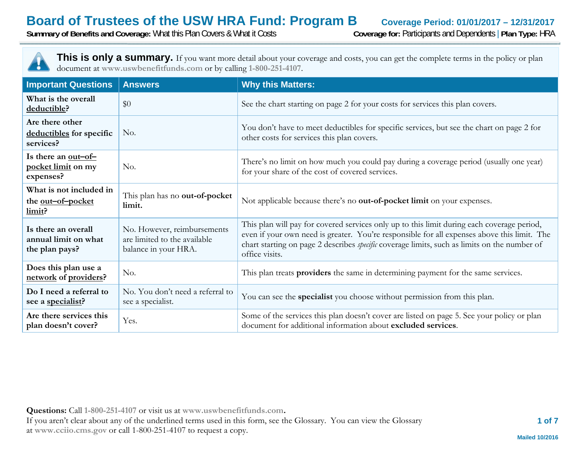**Summary of Benefits and Coverage:** What this Plan Covers & What it Costs **Coverage for:** Participants and Dependents | **Plan Type:** HRA



This is only a summary. If you want more detail about your coverage and costs, you can get the complete terms in the policy or plan document at **www.uswbenefitfunds.com** or by calling **1-800-251-4107**.

| <b>Important Questions</b>                                    | <b>Answers</b>                                                                      | <b>Why this Matters:</b>                                                                                                                                                                                                                                                                                           |
|---------------------------------------------------------------|-------------------------------------------------------------------------------------|--------------------------------------------------------------------------------------------------------------------------------------------------------------------------------------------------------------------------------------------------------------------------------------------------------------------|
| What is the overall<br>deductible?                            | \$0                                                                                 | See the chart starting on page 2 for your costs for services this plan covers.                                                                                                                                                                                                                                     |
| Are there other<br>deductibles for specific<br>services?      | No.                                                                                 | You don't have to meet deductibles for specific services, but see the chart on page 2 for<br>other costs for services this plan covers.                                                                                                                                                                            |
| Is there an <u>out-of-</u><br>pocket limit on my<br>expenses? | No.                                                                                 | There's no limit on how much you could pay during a coverage period (usually one year)<br>for your share of the cost of covered services.                                                                                                                                                                          |
| What is not included in<br>the out-of-pocket<br>limit?        | This plan has no out-of-pocket<br>limit.                                            | Not applicable because there's no out-of-pocket limit on your expenses.                                                                                                                                                                                                                                            |
| Is there an overall<br>annual limit on what<br>the plan pays? | No. However, reimbursements<br>are limited to the available<br>balance in your HRA. | This plan will pay for covered services only up to this limit during each coverage period,<br>even if your own need is greater. You're responsible for all expenses above this limit. The<br>chart starting on page 2 describes <i>specific</i> coverage limits, such as limits on the number of<br>office visits. |
| Does this plan use a<br>network of providers?                 | No.                                                                                 | This plan treats providers the same in determining payment for the same services.                                                                                                                                                                                                                                  |
| Do I need a referral to<br>see a specialist?                  | No. You don't need a referral to<br>see a specialist.                               | You can see the specialist you choose without permission from this plan.                                                                                                                                                                                                                                           |
| Are there services this<br>plan doesn't cover?                | Yes.                                                                                | Some of the services this plan doesn't cover are listed on page 5. See your policy or plan<br>document for additional information about excluded services.                                                                                                                                                         |

**Questions:** Call **1-800-251-4107** or visit us at **www.uswbenefitfunds.com.**  If you aren't clear about any of the underlined terms used in this form, see the Glossary. You can view the Glossary at **www.cciio.cms.gov** or call 1-800-251-4107 to request a copy.

 **1 of 7**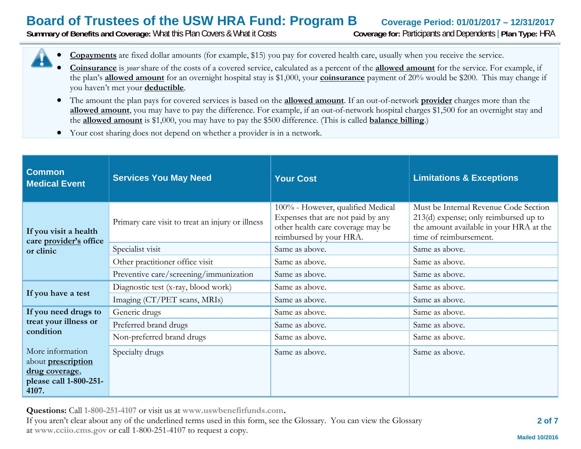**Summary of Benefits and Coverage:** What this Plan Covers & What it Costs **Coverage for:** Participants and Dependents | **Plan Type:** HRA



- 0 **Coinsurance** is *your* share of the costs of a covered service, calculated as a percent of the **allowed amount** for the service. For example, if the plan's **allowed amount** for an overnight hospital stay is \$1,000, your **coinsurance** payment of 20% would be \$200. This may change if you haven't met your **deductible**.
- The amount the plan pays for covered services is based on the **allowed amount**. If an out-of-network **provider** charges more than the **allowed amount**, you may have to pay the difference. For example, if an out-of-network hospital charges \$1,500 for an overnight stay and the **allowed amount** is \$1,000, you may have to pay the \$500 difference. (This is called **balance billing**.)
- $\bullet$ Your cost sharing does not depend on whether a provider is in a network.

| <b>Common</b><br><b>Medical Event</b>                                                              | <b>Services You May Need</b>                     | <b>Your Cost</b>                                                                                                                       | <b>Limitations &amp; Exceptions</b>                                                                                                                   |
|----------------------------------------------------------------------------------------------------|--------------------------------------------------|----------------------------------------------------------------------------------------------------------------------------------------|-------------------------------------------------------------------------------------------------------------------------------------------------------|
| If you visit a health<br>care provider's office                                                    | Primary care visit to treat an injury or illness | 100% - However, qualified Medical<br>Expenses that are not paid by any<br>other health care coverage may be<br>reimbursed by your HRA. | Must be Internal Revenue Code Section<br>$213(d)$ expense; only reimbursed up to<br>the amount available in your HRA at the<br>time of reimbursement. |
| or clinic                                                                                          | Specialist visit                                 | Same as above.                                                                                                                         | Same as above.                                                                                                                                        |
|                                                                                                    | Other practitioner office visit                  | Same as above.                                                                                                                         | Same as above.                                                                                                                                        |
|                                                                                                    | Preventive care/screening/immunization           | Same as above.                                                                                                                         | Same as above.                                                                                                                                        |
|                                                                                                    | Diagnostic test (x-ray, blood work)              | Same as above.                                                                                                                         | Same as above.                                                                                                                                        |
| If you have a test                                                                                 | Imaging (CT/PET scans, MRIs)                     | Same as above.                                                                                                                         | Same as above.                                                                                                                                        |
| If you need drugs to                                                                               | Generic drugs                                    | Same as above.                                                                                                                         | Same as above.                                                                                                                                        |
| treat your illness or<br>condition                                                                 | Preferred brand drugs                            | Same as above.                                                                                                                         | Same as above.                                                                                                                                        |
|                                                                                                    | Non-preferred brand drugs                        | Same as above.                                                                                                                         | Same as above.                                                                                                                                        |
| More information<br>about <b>prescription</b><br>drug coverage,<br>please call 1-800-251-<br>4107. | Specialty drugs                                  | Same as above.                                                                                                                         | Same as above.                                                                                                                                        |

**Questions:** Call **1-800-251-4107** or visit us at **www.uswbenefitfunds.com.** 

If you aren't clear about any of the underlined terms used in this form, see the Glossary. You can view the Glossary at **www.cciio.cms.gov** or call 1-800-251-4107 to request a copy.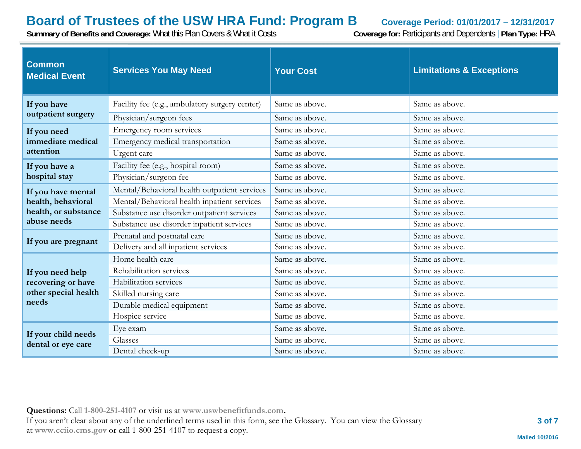**Summary of Benefits and Coverage:** What this Plan Covers & What it Costs **Coverage for:** Participants and Dependents | **Plan Type:** HRA

| <b>Common</b><br><b>Medical Event</b>                                   | <b>Services You May Need</b>                   | <b>Your Cost</b> | <b>Limitations &amp; Exceptions</b> |
|-------------------------------------------------------------------------|------------------------------------------------|------------------|-------------------------------------|
| If you have<br>outpatient surgery                                       | Facility fee (e.g., ambulatory surgery center) | Same as above.   | Same as above.                      |
|                                                                         | Physician/surgeon fees                         | Same as above.   | Same as above.                      |
| If you need                                                             | Emergency room services                        | Same as above.   | Same as above.                      |
| immediate medical                                                       | Emergency medical transportation               | Same as above.   | Same as above.                      |
| attention                                                               | Urgent care                                    | Same as above.   | Same as above.                      |
| If you have a                                                           | Facility fee (e.g., hospital room)             | Same as above.   | Same as above.                      |
| hospital stay                                                           | Physician/surgeon fee                          | Same as above.   | Same as above.                      |
| If you have mental                                                      | Mental/Behavioral health outpatient services   | Same as above.   | Same as above.                      |
| health, behavioral                                                      | Mental/Behavioral health inpatient services    | Same as above.   | Same as above.                      |
| health, or substance<br>abuse needs                                     | Substance use disorder outpatient services     | Same as above.   | Same as above.                      |
|                                                                         | Substance use disorder inpatient services      | Same as above.   | Same as above.                      |
| If you are pregnant                                                     | Prenatal and postnatal care                    | Same as above.   | Same as above.                      |
|                                                                         | Delivery and all inpatient services            | Same as above.   | Same as above.                      |
|                                                                         | Home health care                               | Same as above.   | Same as above.                      |
| If you need help<br>recovering or have<br>other special health<br>needs | Rehabilitation services                        | Same as above.   | Same as above.                      |
|                                                                         | Habilitation services                          | Same as above.   | Same as above.                      |
|                                                                         | Skilled nursing care                           | Same as above.   | Same as above.                      |
|                                                                         | Durable medical equipment                      | Same as above.   | Same as above.                      |
|                                                                         | Hospice service                                | Same as above.   | Same as above.                      |
| If your child needs<br>dental or eye care                               | Eye exam                                       | Same as above.   | Same as above.                      |
|                                                                         | Glasses                                        | Same as above.   | Same as above.                      |
|                                                                         | Dental check-up                                | Same as above.   | Same as above.                      |

**Questions:** Call **1-800-251-4107** or visit us at **www.uswbenefitfunds.com.**  If you aren't clear about any of the underlined terms used in this form, see the Glossary. You can view the Glossary at **www.cciio.cms.gov** or call 1-800-251-4107 to request a copy.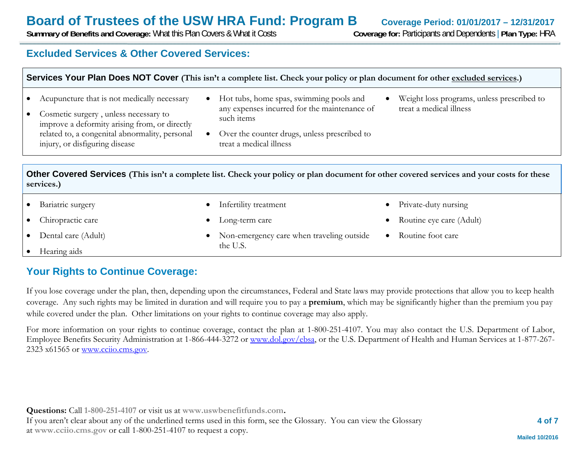0

0

0

0

**Summary of Benefits and Coverage:** What this Plan Covers & What it Costs **Coverage for:** Participants and Dependents | **Plan Type:** HRA

### **Excluded Services & Other Covered Services:**

| Services Your Plan Does NOT Cover (This isn't a complete list. Check your policy or plan document for other excluded services.) |  |
|---------------------------------------------------------------------------------------------------------------------------------|--|
|                                                                                                                                 |  |

- $\bullet$ Acupuncture that is not medically necessary
- $\bullet$  Cosmetic surgery , unless necessary to improve a deformity arising from, or directly related to, a congenital abnormality, personal injury, or disfiguring disease
- Hot tubs, home spas, swimming pools and any expenses incurred for the maintenance of such items
- 0 Over the counter drugs, unless prescribed to treat a medical illness
- 0 Weight loss programs, unless prescribed to treat a medical illness

0

0

0

Private-duty nursing

Routine foot care

Routine eye care (Adult)

**Other Covered Services (This isn't a complete list. Check your policy or plan document for other covered services and your costs for these services.)**

Non-emergency care when traveling outside

Infertility treatment

Long-term care

the U.S.

- $\bullet$ Bariatric surgery
- $\bullet$ Chiropractic care
- $\bullet$ Dental care (Adult)
- . Hearing aids

## **Your Rights to Continue Coverage:**

If you lose coverage under the plan, then, depending upon the circumstances, Federal and State laws may provide protections that allow you to keep health coverage. Any such rights may be limited in duration and will require you to pay a **premium**, which may be significantly higher than the premium you pay while covered under the plan. Other limitations on your rights to continue coverage may also apply.

For more information on your rights to continue coverage, contact the plan at 1-800-251-4107. You may also contact the U.S. Department of Labor, Employee Benefits Security Administration at 1-866-444-3272 or www.dol.gov/ebsa, or the U.S. Department of Health and Human Services at 1-877-267- 2323 x61565 or www.cciio.cms.gov.

**Questions:** Call **1-800-251-4107** or visit us at **www.uswbenefitfunds.com.**  If you aren't clear about any of the underlined terms used in this form, see the Glossary. You can view the Glossary at **www.cciio.cms.gov** or call 1-800-251-4107 to request a copy.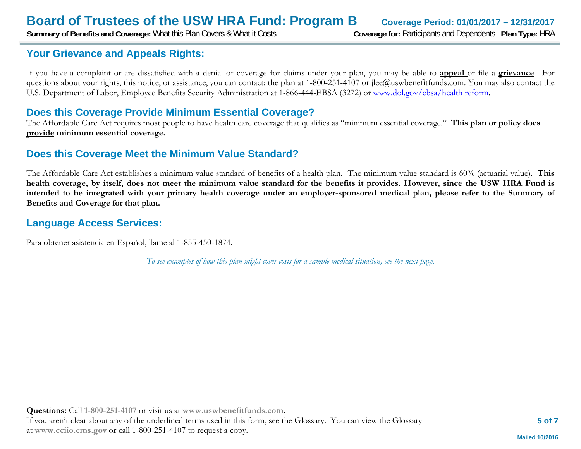**Summary of Benefits and Coverage:** What this Plan Covers & What it Costs **Coverage for:** Participants and Dependents | **Plan Type:** HRA

### **Your Grievance and Appeals Rights:**

If you have a complaint or are dissatisfied with a denial of coverage for claims under your plan, you may be able to **appeal** or file a **grievance**. For questions about your rights, this notice, or assistance, you can contact: the plan at 1-800-251-4107 or <u>ilee@uswbenefitfunds.com</u>. You may also contact the U.S. Department of Labor, Employee Benefits Security Administration at 1-866-444-EBSA (3272) or www.dol.gov/ebsa/health reform.

### **Does this Coverage Provide Minimum Essential Coverage?**

The Affordable Care Act requires most people to have health care coverage that qualifies as "minimum essential coverage." **This plan or policy does provide minimum essential coverage.** 

### **Does this Coverage Meet the Minimum Value Standard?**

The Affordable Care Act establishes a minimum value standard of benefits of a health plan. The minimum value standard is 60% (actuarial value). **This health coverage, by itself, does not meet the minimum value standard for the benefits it provides. However, since the USW HRA Fund is intended to be integrated with your primary health coverage under an employer-sponsored medical plan, please refer to the Summary of Benefits and Coverage for that plan.** 

### **Language Access Services:**

Para obtener asistencia en Español, llame al 1-855-450-1874.

––––––––––––––––––––––*To see examples of how this plan might cover costs for a sample medical situation, see the next page.–––––––––––*–––––––––––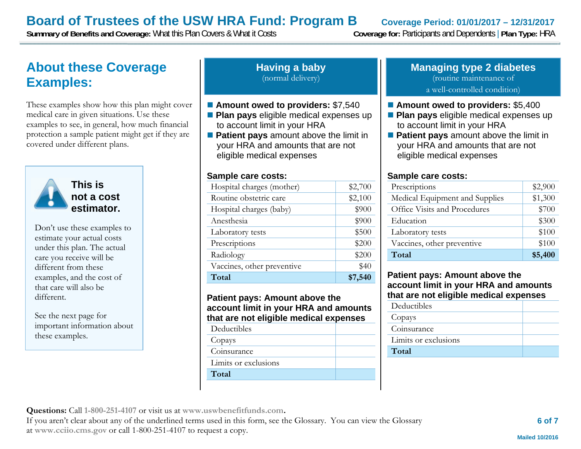**Summary of Benefits and Coverage:** What this Plan Covers & What it Costs **Coverage for:** Participants and Dependents | **Plan Type:** HRA

## **About these Coverage Examples:**

These examples show how this plan might cover medical care in given situations. Use these examples to see, in general, how much financial protection a sample patient might get if they are covered under different plans.



**This is not a cost estimator.** 

Don't use these examples to estimate your actual costs under this plan. The actual care you receive will be different from these examples, and the cost of that care will also be different.

See the next page for important information about these examples.

#### **Having a baby** (normal delivery)

#### ■ Amount owed to providers: \$7,540

- **Plan pays** eligible medical expenses up to account limit in your HRA
- **Patient pays** amount above the limit in your HRA and amounts that are not eligible medical expenses

#### **Sample care costs:**

| Hospital charges (mother)  | \$2,700 |
|----------------------------|---------|
| Routine obstetric care     | \$2,100 |
| Hospital charges (baby)    | \$900   |
| Anesthesia                 | \$900   |
| Laboratory tests           | \$500   |
| Prescriptions              | \$200   |
| Radiology                  | \$200   |
| Vaccines, other preventive | \$40    |
| Total                      | \$7,540 |

#### **Patient pays: Amount above the account limit in your HRA and amounts that are not eligible medical expenses**

| Deductibles |  |
|-------------|--|
|             |  |

Copays

Coinsurance

Limits or exclusions

**Total** 

#### **Managing type 2 diabetes** (routine maintenance of a well-controlled condition)

#### ■ Amount owed to providers: \$5,400

- **Plan pays** eligible medical expenses up to account limit in your HRA
- **Patient pays** amount above the limit in your HRA and amounts that are not eligible medical expenses

#### **Sample care costs:**

| Prescriptions                  | \$2,900 |
|--------------------------------|---------|
| Medical Equipment and Supplies | \$1,300 |
| Office Visits and Procedures   | \$700   |
| Education                      | \$300   |
| Laboratory tests               | \$100   |
| Vaccines, other preventive     | \$100   |
| Total                          | \$5,400 |

#### **Patient pays: Amount above the account limit in your HRA and amounts that are not eligible medical expenses**

| Deductibles          |  |
|----------------------|--|
| Copays               |  |
| Coinsurance          |  |
| Limits or exclusions |  |
| Total                |  |
|                      |  |

**Questions:** Call **1-800-251-4107** or visit us at **www.uswbenefitfunds.com.** 

If you aren't clear about any of the underlined terms used in this form, see the Glossary. You can view the Glossary at **www.cciio.cms.gov** or call 1-800-251-4107 to request a copy.